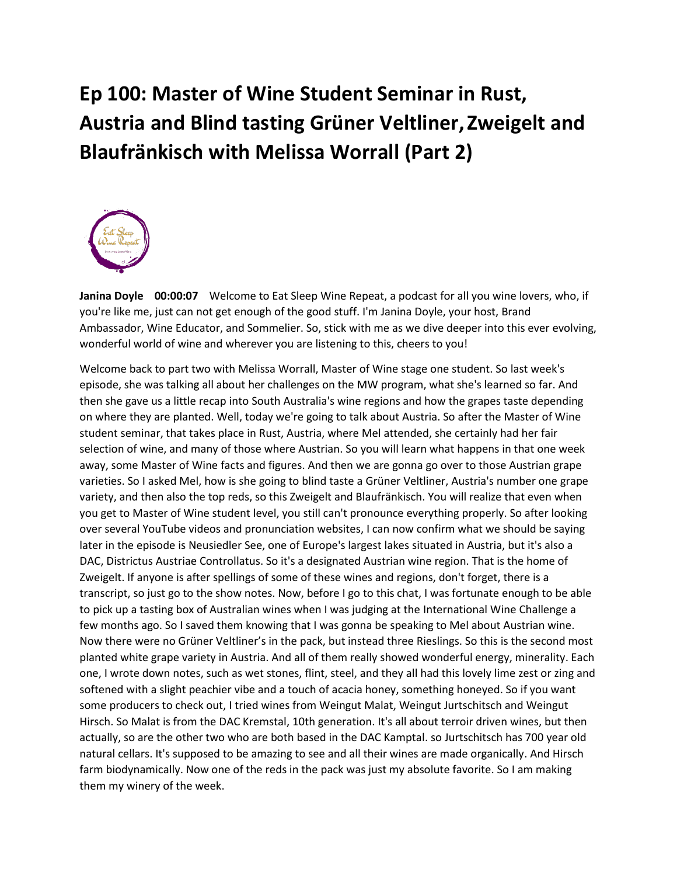## **Ep 100: Master of Wine Student Seminar in Rust, Austria and Blind tasting Grüner Veltliner,Zweigelt and Blaufränkisch with Melissa Worrall (Part 2)**



**Janina Doyle 00:00:07** Welcome to Eat Sleep Wine Repeat, a podcast for all you wine lovers, who, if you're like me, just can not get enough of the good stuff. I'm Janina Doyle, your host, Brand Ambassador, Wine Educator, and Sommelier. So, stick with me as we dive deeper into this ever evolving, wonderful world of wine and wherever you are listening to this, cheers to you!

Welcome back to part two with Melissa Worrall, Master of Wine stage one student. So last week's episode, she was talking all about her challenges on the MW program, what she's learned so far. And then she gave us a little recap into South Australia's wine regions and how the grapes taste depending on where they are planted. Well, today we're going to talk about Austria. So after the Master of Wine student seminar, that takes place in Rust, Austria, where Mel attended, she certainly had her fair selection of wine, and many of those where Austrian. So you will learn what happens in that one week away, some Master of Wine facts and figures. And then we are gonna go over to those Austrian grape varieties. So I asked Mel, how is she going to blind taste a Grüner Veltliner, Austria's number one grape variety, and then also the top reds, so this Zweigelt and Blaufränkisch. You will realize that even when you get to Master of Wine student level, you still can't pronounce everything properly. So after looking over several YouTube videos and pronunciation websites, I can now confirm what we should be saying later in the episode is Neusiedler See, one of Europe's largest lakes situated in Austria, but it's also a DAC, Districtus Austriae Controllatus. So it's a designated Austrian wine region. That is the home of Zweigelt. If anyone is after spellings of some of these wines and regions, don't forget, there is a transcript, so just go to the show notes. Now, before I go to this chat, I was fortunate enough to be able to pick up a tasting box of Australian wines when I was judging at the International Wine Challenge a few months ago. So I saved them knowing that I was gonna be speaking to Mel about Austrian wine. Now there were no Grüner Veltliner's in the pack, but instead three Rieslings. So this is the second most planted white grape variety in Austria. And all of them really showed wonderful energy, minerality. Each one, I wrote down notes, such as wet stones, flint, steel, and they all had this lovely lime zest or zing and softened with a slight peachier vibe and a touch of acacia honey, something honeyed. So if you want some producers to check out, I tried wines from Weingut Malat, Weingut Jurtschitsch and Weingut Hirsch. So Malat is from the DAC Kremstal, 10th generation. It's all about terroir driven wines, but then actually, so are the other two who are both based in the DAC Kamptal. so Jurtschitsch has 700 year old natural cellars. It's supposed to be amazing to see and all their wines are made organically. And Hirsch farm biodynamically. Now one of the reds in the pack was just my absolute favorite. So I am making them my winery of the week.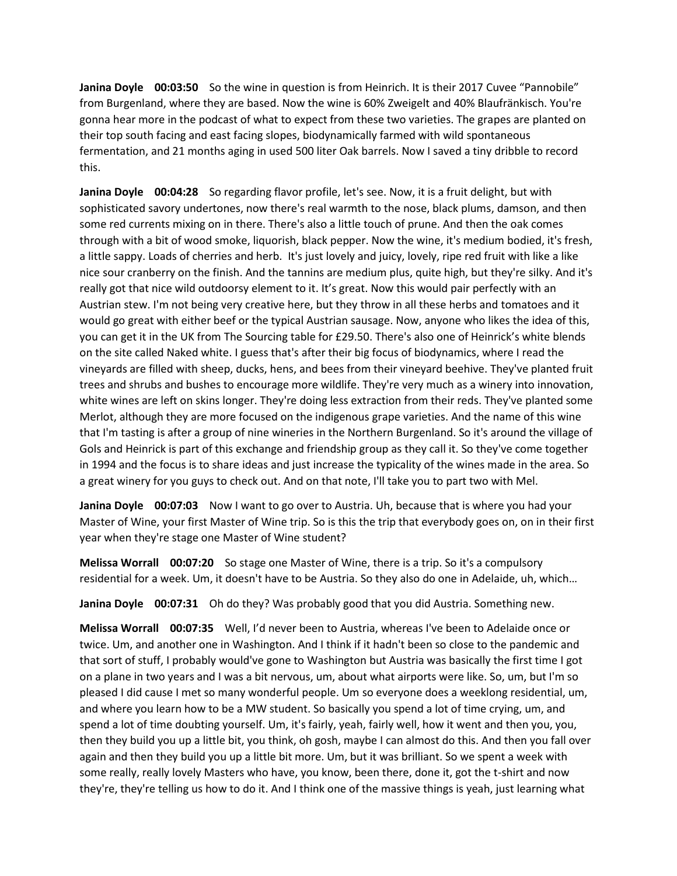**Janina Doyle 00:03:50** So the wine in question is from Heinrich. It is their 2017 Cuvee "Pannobile" from Burgenland, where they are based. Now the wine is 60% Zweigelt and 40% Blaufränkisch. You're gonna hear more in the podcast of what to expect from these two varieties. The grapes are planted on their top south facing and east facing slopes, biodynamically farmed with wild spontaneous fermentation, and 21 months aging in used 500 liter Oak barrels. Now I saved a tiny dribble to record this.

**Janina Doyle 00:04:28** So regarding flavor profile, let's see. Now, it is a fruit delight, but with sophisticated savory undertones, now there's real warmth to the nose, black plums, damson, and then some red currents mixing on in there. There's also a little touch of prune. And then the oak comes through with a bit of wood smoke, liquorish, black pepper. Now the wine, it's medium bodied, it's fresh, a little sappy. Loads of cherries and herb. It's just lovely and juicy, lovely, ripe red fruit with like a like nice sour cranberry on the finish. And the tannins are medium plus, quite high, but they're silky. And it's really got that nice wild outdoorsy element to it. It's great. Now this would pair perfectly with an Austrian stew. I'm not being very creative here, but they throw in all these herbs and tomatoes and it would go great with either beef or the typical Austrian sausage. Now, anyone who likes the idea of this, you can get it in the UK from The Sourcing table for £29.50. There's also one of Heinrick's white blends on the site called Naked white. I guess that's after their big focus of biodynamics, where I read the vineyards are filled with sheep, ducks, hens, and bees from their vineyard beehive. They've planted fruit trees and shrubs and bushes to encourage more wildlife. They're very much as a winery into innovation, white wines are left on skins longer. They're doing less extraction from their reds. They've planted some Merlot, although they are more focused on the indigenous grape varieties. And the name of this wine that I'm tasting is after a group of nine wineries in the Northern Burgenland. So it's around the village of Gols and Heinrick is part of this exchange and friendship group as they call it. So they've come together in 1994 and the focus is to share ideas and just increase the typicality of the wines made in the area. So a great winery for you guys to check out. And on that note, I'll take you to part two with Mel.

**Janina Doyle 00:07:03** Now I want to go over to Austria. Uh, because that is where you had your Master of Wine, your first Master of Wine trip. So is this the trip that everybody goes on, on in their first year when they're stage one Master of Wine student?

**Melissa Worrall 00:07:20** So stage one Master of Wine, there is a trip. So it's a compulsory residential for a week. Um, it doesn't have to be Austria. So they also do one in Adelaide, uh, which…

**Janina Doyle 00:07:31** Oh do they? Was probably good that you did Austria. Something new.

**Melissa Worrall 00:07:35** Well, I'd never been to Austria, whereas I've been to Adelaide once or twice. Um, and another one in Washington. And I think if it hadn't been so close to the pandemic and that sort of stuff, I probably would've gone to Washington but Austria was basically the first time I got on a plane in two years and I was a bit nervous, um, about what airports were like. So, um, but I'm so pleased I did cause I met so many wonderful people. Um so everyone does a weeklong residential, um, and where you learn how to be a MW student. So basically you spend a lot of time crying, um, and spend a lot of time doubting yourself. Um, it's fairly, yeah, fairly well, how it went and then you, you, then they build you up a little bit, you think, oh gosh, maybe I can almost do this. And then you fall over again and then they build you up a little bit more. Um, but it was brilliant. So we spent a week with some really, really lovely Masters who have, you know, been there, done it, got the t-shirt and now they're, they're telling us how to do it. And I think one of the massive things is yeah, just learning what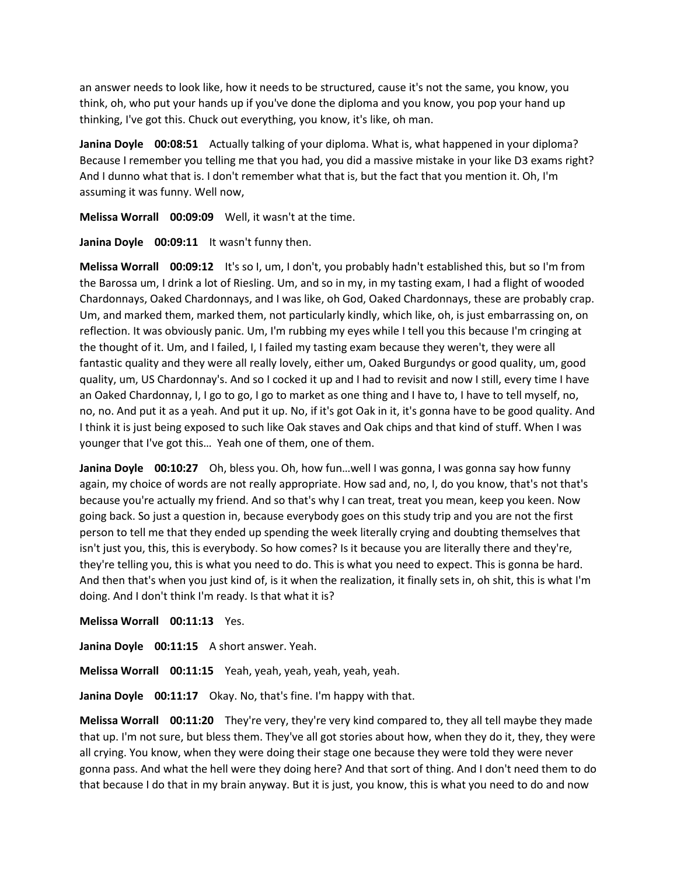an answer needs to look like, how it needs to be structured, cause it's not the same, you know, you think, oh, who put your hands up if you've done the diploma and you know, you pop your hand up thinking, I've got this. Chuck out everything, you know, it's like, oh man.

**Janina Doyle 00:08:51** Actually talking of your diploma. What is, what happened in your diploma? Because I remember you telling me that you had, you did a massive mistake in your like D3 exams right? And I dunno what that is. I don't remember what that is, but the fact that you mention it. Oh, I'm assuming it was funny. Well now,

**Melissa Worrall 00:09:09** Well, it wasn't at the time.

Janina Doyle 00:09:11 It wasn't funny then.

**Melissa Worrall 00:09:12** It's so I, um, I don't, you probably hadn't established this, but so I'm from the Barossa um, I drink a lot of Riesling. Um, and so in my, in my tasting exam, I had a flight of wooded Chardonnays, Oaked Chardonnays, and I was like, oh God, Oaked Chardonnays, these are probably crap. Um, and marked them, marked them, not particularly kindly, which like, oh, is just embarrassing on, on reflection. It was obviously panic. Um, I'm rubbing my eyes while I tell you this because I'm cringing at the thought of it. Um, and I failed, I, I failed my tasting exam because they weren't, they were all fantastic quality and they were all really lovely, either um, Oaked Burgundys or good quality, um, good quality, um, US Chardonnay's. And so I cocked it up and I had to revisit and now I still, every time I have an Oaked Chardonnay, I, I go to go, I go to market as one thing and I have to, I have to tell myself, no, no, no. And put it as a yeah. And put it up. No, if it's got Oak in it, it's gonna have to be good quality. And I think it is just being exposed to such like Oak staves and Oak chips and that kind of stuff. When I was younger that I've got this… Yeah one of them, one of them.

**Janina Doyle 00:10:27** Oh, bless you. Oh, how fun…well I was gonna, I was gonna say how funny again, my choice of words are not really appropriate. How sad and, no, I, do you know, that's not that's because you're actually my friend. And so that's why I can treat, treat you mean, keep you keen. Now going back. So just a question in, because everybody goes on this study trip and you are not the first person to tell me that they ended up spending the week literally crying and doubting themselves that isn't just you, this, this is everybody. So how comes? Is it because you are literally there and they're, they're telling you, this is what you need to do. This is what you need to expect. This is gonna be hard. And then that's when you just kind of, is it when the realization, it finally sets in, oh shit, this is what I'm doing. And I don't think I'm ready. Is that what it is?

**Melissa Worrall 00:11:13** Yes.

**Janina Doyle 00:11:15** A short answer. Yeah.

**Melissa Worrall 00:11:15** Yeah, yeah, yeah, yeah, yeah, yeah.

**Janina Doyle 00:11:17** Okay. No, that's fine. I'm happy with that.

**Melissa Worrall 00:11:20** They're very, they're very kind compared to, they all tell maybe they made that up. I'm not sure, but bless them. They've all got stories about how, when they do it, they, they were all crying. You know, when they were doing their stage one because they were told they were never gonna pass. And what the hell were they doing here? And that sort of thing. And I don't need them to do that because I do that in my brain anyway. But it is just, you know, this is what you need to do and now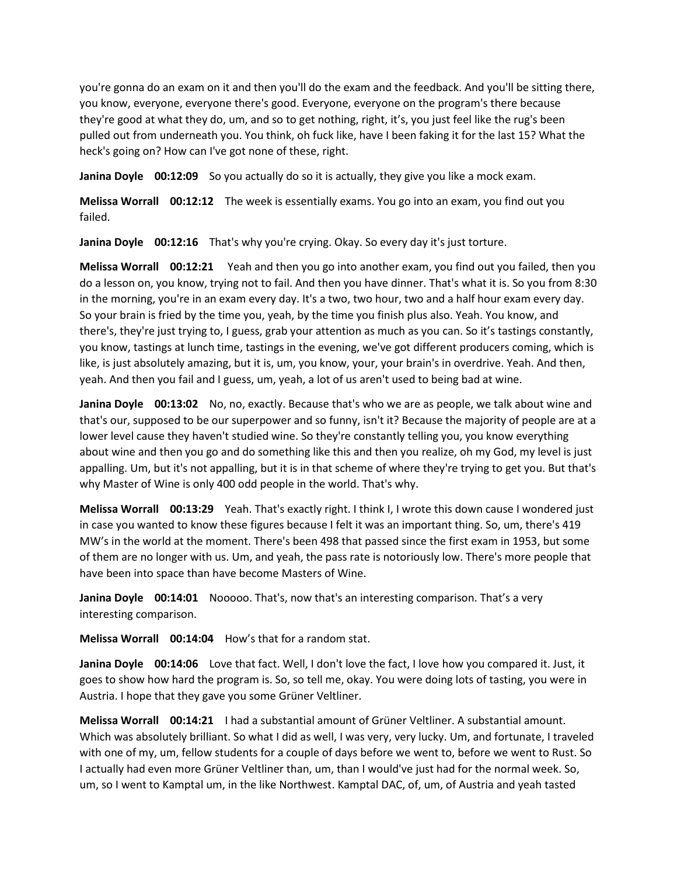you're gonna do an exam on it and then you'll do the exam and the feedback. And you'll be sitting there, you know, everyone, everyone there's good. Everyone, everyone on the program's there because they're good at what they do, um, and so to get nothing, right, it's, you just feel like the rug's been pulled out from underneath you. You think, oh fuck like, have I been faking it for the last 15? What the heck's going on? How can I've got none of these, right.

**Janina Doyle 00:12:09** So you actually do so it is actually, they give you like a mock exam.

**Melissa Worrall 00:12:12** The week is essentially exams. You go into an exam, you find out you failed.

**Janina Doyle 00:12:16** That's why you're crying. Okay. So every day it's just torture.

**Melissa Worrall 00:12:21** Yeah and then you go into another exam, you find out you failed, then you do a lesson on, you know, trying not to fail. And then you have dinner. That's what it is. So you from 8:30 in the morning, you're in an exam every day. It's a two, two hour, two and a half hour exam every day. So your brain is fried by the time you, yeah, by the time you finish plus also. Yeah. You know, and there's, they're just trying to, I guess, grab your attention as much as you can. So it's tastings constantly, you know, tastings at lunch time, tastings in the evening, we've got different producers coming, which is like, is just absolutely amazing, but it is, um, you know, your, your brain's in overdrive. Yeah. And then, yeah. And then you fail and I guess, um, yeah, a lot of us aren't used to being bad at wine.

**Janina Doyle 00:13:02** No, no, exactly. Because that's who we are as people, we talk about wine and that's our, supposed to be our superpower and so funny, isn't it? Because the majority of people are at a lower level cause they haven't studied wine. So they're constantly telling you, you know everything about wine and then you go and do something like this and then you realize, oh my God, my level is just appalling. Um, but it's not appalling, but it is in that scheme of where they're trying to get you. But that's why Master of Wine is only 400 odd people in the world. That's why.

**Melissa Worrall 00:13:29** Yeah. That's exactly right. I think I, I wrote this down cause I wondered just in case you wanted to know these figures because I felt it was an important thing. So, um, there's 419 MW's in the world at the moment. There's been 498 that passed since the first exam in 1953, but some of them are no longer with us. Um, and yeah, the pass rate is notoriously low. There's more people that have been into space than have become Masters of Wine.

**Janina Doyle 00:14:01** Nooooo. That's, now that's an interesting comparison. That's a very interesting comparison.

**Melissa Worrall 00:14:04** How's that for a random stat.

**Janina Doyle 00:14:06** Love that fact. Well, I don't love the fact, I love how you compared it. Just, it goes to show how hard the program is. So, so tell me, okay. You were doing lots of tasting, you were in Austria. I hope that they gave you some Grüner Veltliner.

**Melissa Worrall 00:14:21** I had a substantial amount of Grüner Veltliner. A substantial amount. Which was absolutely brilliant. So what I did as well, I was very, very lucky. Um, and fortunate, I traveled with one of my, um, fellow students for a couple of days before we went to, before we went to Rust. So I actually had even more Grüner Veltliner than, um, than I would've just had for the normal week. So, um, so I went to Kamptal um, in the like Northwest. Kamptal DAC, of, um, of Austria and yeah tasted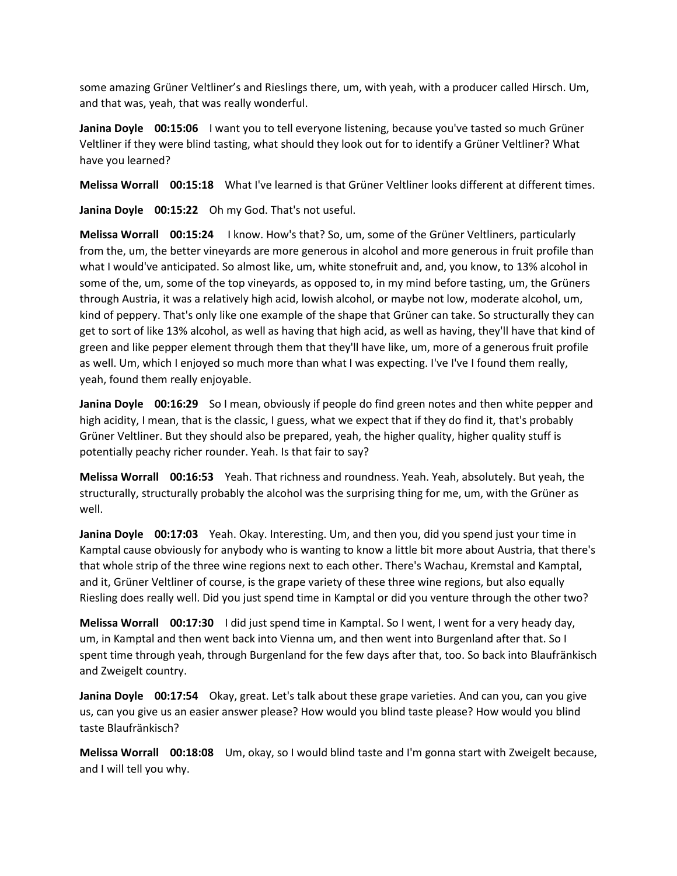some amazing Grüner Veltliner's and Rieslings there, um, with yeah, with a producer called Hirsch. Um, and that was, yeah, that was really wonderful.

**Janina Doyle 00:15:06** I want you to tell everyone listening, because you've tasted so much Grüner Veltliner if they were blind tasting, what should they look out for to identify a Grüner Veltliner? What have you learned?

**Melissa Worrall 00:15:18** What I've learned is that Grüner Veltliner looks different at different times.

**Janina Doyle 00:15:22** Oh my God. That's not useful.

**Melissa Worrall 00:15:24** I know. How's that? So, um, some of the Grüner Veltliners, particularly from the, um, the better vineyards are more generous in alcohol and more generous in fruit profile than what I would've anticipated. So almost like, um, white stonefruit and, and, you know, to 13% alcohol in some of the, um, some of the top vineyards, as opposed to, in my mind before tasting, um, the Grüners through Austria, it was a relatively high acid, lowish alcohol, or maybe not low, moderate alcohol, um, kind of peppery. That's only like one example of the shape that Grüner can take. So structurally they can get to sort of like 13% alcohol, as well as having that high acid, as well as having, they'll have that kind of green and like pepper element through them that they'll have like, um, more of a generous fruit profile as well. Um, which I enjoyed so much more than what I was expecting. I've I've I found them really, yeah, found them really enjoyable.

**Janina Doyle 00:16:29** So I mean, obviously if people do find green notes and then white pepper and high acidity, I mean, that is the classic, I guess, what we expect that if they do find it, that's probably Grüner Veltliner. But they should also be prepared, yeah, the higher quality, higher quality stuff is potentially peachy richer rounder. Yeah. Is that fair to say?

**Melissa Worrall 00:16:53** Yeah. That richness and roundness. Yeah. Yeah, absolutely. But yeah, the structurally, structurally probably the alcohol was the surprising thing for me, um, with the Grüner as well.

**Janina Doyle 00:17:03** Yeah. Okay. Interesting. Um, and then you, did you spend just your time in Kamptal cause obviously for anybody who is wanting to know a little bit more about Austria, that there's that whole strip of the three wine regions next to each other. There's Wachau, Kremstal and Kamptal, and it, Grüner Veltliner of course, is the grape variety of these three wine regions, but also equally Riesling does really well. Did you just spend time in Kamptal or did you venture through the other two?

**Melissa Worrall 00:17:30** I did just spend time in Kamptal. So I went, I went for a very heady day, um, in Kamptal and then went back into Vienna um, and then went into Burgenland after that. So I spent time through yeah, through Burgenland for the few days after that, too. So back into Blaufränkisch and Zweigelt country.

**Janina Doyle 00:17:54** Okay, great. Let's talk about these grape varieties. And can you, can you give us, can you give us an easier answer please? How would you blind taste please? How would you blind taste Blaufränkisch?

**Melissa Worrall 00:18:08** Um, okay, so I would blind taste and I'm gonna start with Zweigelt because, and I will tell you why.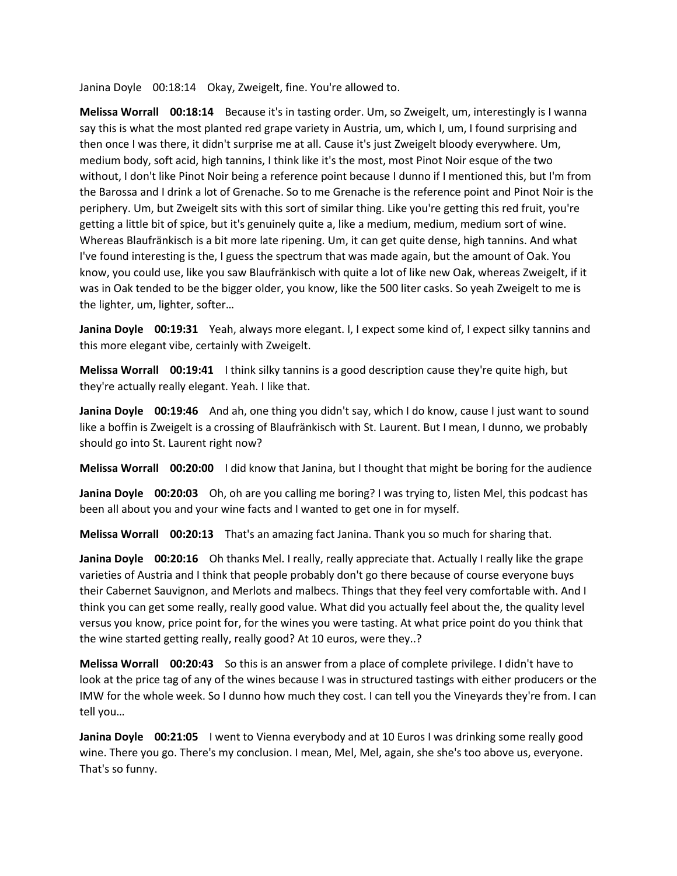Janina Doyle 00:18:14 Okay, Zweigelt, fine. You're allowed to.

**Melissa Worrall 00:18:14** Because it's in tasting order. Um, so Zweigelt, um, interestingly is I wanna say this is what the most planted red grape variety in Austria, um, which I, um, I found surprising and then once I was there, it didn't surprise me at all. Cause it's just Zweigelt bloody everywhere. Um, medium body, soft acid, high tannins, I think like it's the most, most Pinot Noir esque of the two without, I don't like Pinot Noir being a reference point because I dunno if I mentioned this, but I'm from the Barossa and I drink a lot of Grenache. So to me Grenache is the reference point and Pinot Noir is the periphery. Um, but Zweigelt sits with this sort of similar thing. Like you're getting this red fruit, you're getting a little bit of spice, but it's genuinely quite a, like a medium, medium, medium sort of wine. Whereas Blaufränkisch is a bit more late ripening. Um, it can get quite dense, high tannins. And what I've found interesting is the, I guess the spectrum that was made again, but the amount of Oak. You know, you could use, like you saw Blaufränkisch with quite a lot of like new Oak, whereas Zweigelt, if it was in Oak tended to be the bigger older, you know, like the 500 liter casks. So yeah Zweigelt to me is the lighter, um, lighter, softer…

**Janina Doyle 00:19:31** Yeah, always more elegant. I, I expect some kind of, I expect silky tannins and this more elegant vibe, certainly with Zweigelt.

**Melissa Worrall 00:19:41** I think silky tannins is a good description cause they're quite high, but they're actually really elegant. Yeah. I like that.

**Janina Doyle 00:19:46** And ah, one thing you didn't say, which I do know, cause I just want to sound like a boffin is Zweigelt is a crossing of Blaufränkisch with St. Laurent. But I mean, I dunno, we probably should go into St. Laurent right now?

**Melissa Worrall 00:20:00** I did know that Janina, but I thought that might be boring for the audience

**Janina Doyle 00:20:03** Oh, oh are you calling me boring? I was trying to, listen Mel, this podcast has been all about you and your wine facts and I wanted to get one in for myself.

**Melissa Worrall 00:20:13** That's an amazing fact Janina. Thank you so much for sharing that.

**Janina Doyle 00:20:16** Oh thanks Mel. I really, really appreciate that. Actually I really like the grape varieties of Austria and I think that people probably don't go there because of course everyone buys their Cabernet Sauvignon, and Merlots and malbecs. Things that they feel very comfortable with. And I think you can get some really, really good value. What did you actually feel about the, the quality level versus you know, price point for, for the wines you were tasting. At what price point do you think that the wine started getting really, really good? At 10 euros, were they..?

**Melissa Worrall 00:20:43** So this is an answer from a place of complete privilege. I didn't have to look at the price tag of any of the wines because I was in structured tastings with either producers or the IMW for the whole week. So I dunno how much they cost. I can tell you the Vineyards they're from. I can tell you…

**Janina Doyle 00:21:05** I went to Vienna everybody and at 10 Euros I was drinking some really good wine. There you go. There's my conclusion. I mean, Mel, Mel, again, she she's too above us, everyone. That's so funny.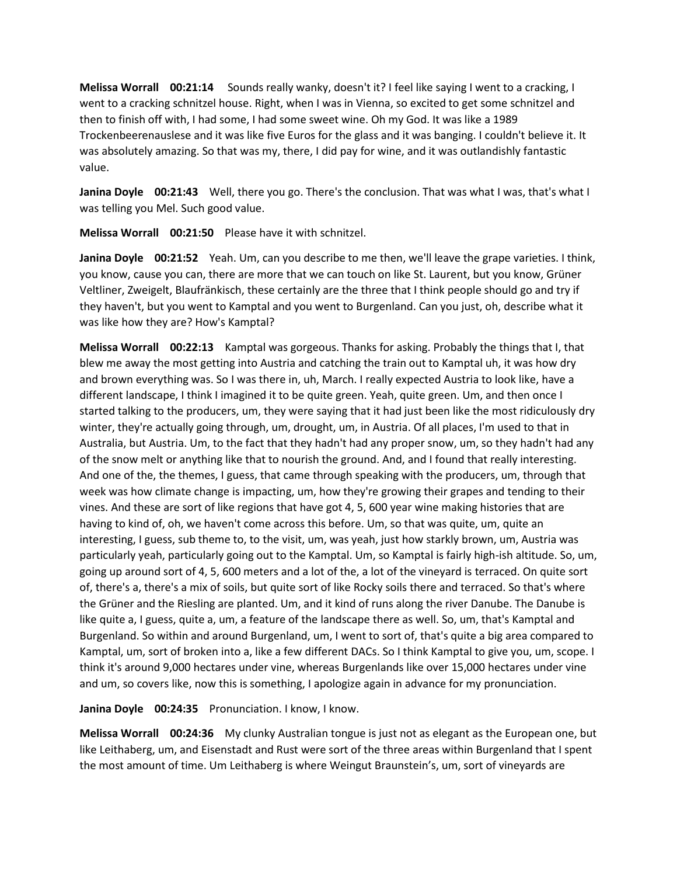**Melissa Worrall 00:21:14** Sounds really wanky, doesn't it? I feel like saying I went to a cracking, I went to a cracking schnitzel house. Right, when I was in Vienna, so excited to get some schnitzel and then to finish off with, I had some, I had some sweet wine. Oh my God. It was like a 1989 Trockenbeerenauslese and it was like five Euros for the glass and it was banging. I couldn't believe it. It was absolutely amazing. So that was my, there, I did pay for wine, and it was outlandishly fantastic value.

**Janina Doyle 00:21:43** Well, there you go. There's the conclusion. That was what I was, that's what I was telling you Mel. Such good value.

**Melissa Worrall 00:21:50** Please have it with schnitzel.

**Janina Doyle 00:21:52** Yeah. Um, can you describe to me then, we'll leave the grape varieties. I think, you know, cause you can, there are more that we can touch on like St. Laurent, but you know, Grüner Veltliner, Zweigelt, Blaufränkisch, these certainly are the three that I think people should go and try if they haven't, but you went to Kamptal and you went to Burgenland. Can you just, oh, describe what it was like how they are? How's Kamptal?

**Melissa Worrall 00:22:13** Kamptal was gorgeous. Thanks for asking. Probably the things that I, that blew me away the most getting into Austria and catching the train out to Kamptal uh, it was how dry and brown everything was. So I was there in, uh, March. I really expected Austria to look like, have a different landscape, I think I imagined it to be quite green. Yeah, quite green. Um, and then once I started talking to the producers, um, they were saying that it had just been like the most ridiculously dry winter, they're actually going through, um, drought, um, in Austria. Of all places, I'm used to that in Australia, but Austria. Um, to the fact that they hadn't had any proper snow, um, so they hadn't had any of the snow melt or anything like that to nourish the ground. And, and I found that really interesting. And one of the, the themes, I guess, that came through speaking with the producers, um, through that week was how climate change is impacting, um, how they're growing their grapes and tending to their vines. And these are sort of like regions that have got 4, 5, 600 year wine making histories that are having to kind of, oh, we haven't come across this before. Um, so that was quite, um, quite an interesting, I guess, sub theme to, to the visit, um, was yeah, just how starkly brown, um, Austria was particularly yeah, particularly going out to the Kamptal. Um, so Kamptal is fairly high-ish altitude. So, um, going up around sort of 4, 5, 600 meters and a lot of the, a lot of the vineyard is terraced. On quite sort of, there's a, there's a mix of soils, but quite sort of like Rocky soils there and terraced. So that's where the Grüner and the Riesling are planted. Um, and it kind of runs along the river Danube. The Danube is like quite a, I guess, quite a, um, a feature of the landscape there as well. So, um, that's Kamptal and Burgenland. So within and around Burgenland, um, I went to sort of, that's quite a big area compared to Kamptal, um, sort of broken into a, like a few different DACs. So I think Kamptal to give you, um, scope. I think it's around 9,000 hectares under vine, whereas Burgenlands like over 15,000 hectares under vine and um, so covers like, now this is something, I apologize again in advance for my pronunciation.

**Janina Doyle 00:24:35** Pronunciation. I know, I know.

**Melissa Worrall 00:24:36** My clunky Australian tongue is just not as elegant as the European one, but like Leithaberg, um, and Eisenstadt and Rust were sort of the three areas within Burgenland that I spent the most amount of time. Um Leithaberg is where Weingut Braunstein's, um, sort of vineyards are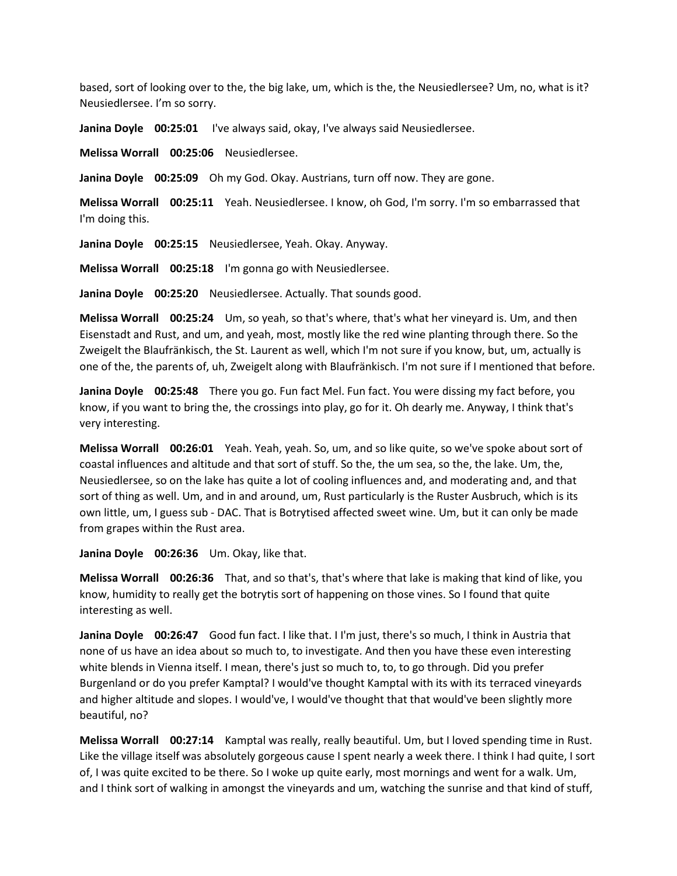based, sort of looking over to the, the big lake, um, which is the, the Neusiedlersee? Um, no, what is it? Neusiedlersee. I'm so sorry.

**Janina Doyle 00:25:01** I've always said, okay, I've always said Neusiedlersee.

**Melissa Worrall 00:25:06** Neusiedlersee.

**Janina Doyle 00:25:09** Oh my God. Okay. Austrians, turn off now. They are gone.

**Melissa Worrall 00:25:11** Yeah. Neusiedlersee. I know, oh God, I'm sorry. I'm so embarrassed that I'm doing this.

**Janina Doyle 00:25:15** Neusiedlersee, Yeah. Okay. Anyway.

**Melissa Worrall 00:25:18** I'm gonna go with Neusiedlersee.

**Janina Doyle 00:25:20** Neusiedlersee. Actually. That sounds good.

**Melissa Worrall 00:25:24** Um, so yeah, so that's where, that's what her vineyard is. Um, and then Eisenstadt and Rust, and um, and yeah, most, mostly like the red wine planting through there. So the Zweigelt the Blaufränkisch, the St. Laurent as well, which I'm not sure if you know, but, um, actually is one of the, the parents of, uh, Zweigelt along with Blaufränkisch. I'm not sure if I mentioned that before.

**Janina Doyle 00:25:48** There you go. Fun fact Mel. Fun fact. You were dissing my fact before, you know, if you want to bring the, the crossings into play, go for it. Oh dearly me. Anyway, I think that's very interesting.

**Melissa Worrall 00:26:01** Yeah. Yeah, yeah. So, um, and so like quite, so we've spoke about sort of coastal influences and altitude and that sort of stuff. So the, the um sea, so the, the lake. Um, the, Neusiedlersee, so on the lake has quite a lot of cooling influences and, and moderating and, and that sort of thing as well. Um, and in and around, um, Rust particularly is the Ruster Ausbruch, which is its own little, um, I guess sub - DAC. That is Botrytised affected sweet wine. Um, but it can only be made from grapes within the Rust area.

**Janina Doyle 00:26:36** Um. Okay, like that.

**Melissa Worrall 00:26:36** That, and so that's, that's where that lake is making that kind of like, you know, humidity to really get the botrytis sort of happening on those vines. So I found that quite interesting as well.

**Janina Doyle 00:26:47** Good fun fact. I like that. I I'm just, there's so much, I think in Austria that none of us have an idea about so much to, to investigate. And then you have these even interesting white blends in Vienna itself. I mean, there's just so much to, to, to go through. Did you prefer Burgenland or do you prefer Kamptal? I would've thought Kamptal with its with its terraced vineyards and higher altitude and slopes. I would've, I would've thought that that would've been slightly more beautiful, no?

**Melissa Worrall 00:27:14** Kamptal was really, really beautiful. Um, but I loved spending time in Rust. Like the village itself was absolutely gorgeous cause I spent nearly a week there. I think I had quite, I sort of, I was quite excited to be there. So I woke up quite early, most mornings and went for a walk. Um, and I think sort of walking in amongst the vineyards and um, watching the sunrise and that kind of stuff,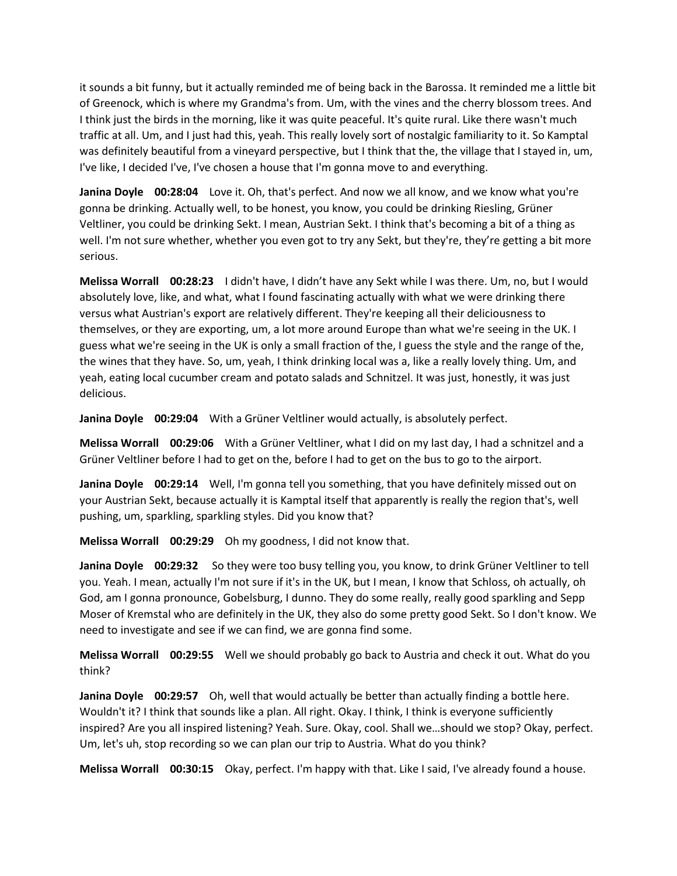it sounds a bit funny, but it actually reminded me of being back in the Barossa. It reminded me a little bit of Greenock, which is where my Grandma's from. Um, with the vines and the cherry blossom trees. And I think just the birds in the morning, like it was quite peaceful. It's quite rural. Like there wasn't much traffic at all. Um, and I just had this, yeah. This really lovely sort of nostalgic familiarity to it. So Kamptal was definitely beautiful from a vineyard perspective, but I think that the, the village that I stayed in, um, I've like, I decided I've, I've chosen a house that I'm gonna move to and everything.

**Janina Doyle 00:28:04** Love it. Oh, that's perfect. And now we all know, and we know what you're gonna be drinking. Actually well, to be honest, you know, you could be drinking Riesling, Grüner Veltliner, you could be drinking Sekt. I mean, Austrian Sekt. I think that's becoming a bit of a thing as well. I'm not sure whether, whether you even got to try any Sekt, but they're, they're getting a bit more serious.

**Melissa Worrall 00:28:23** I didn't have, I didn't have any Sekt while I was there. Um, no, but I would absolutely love, like, and what, what I found fascinating actually with what we were drinking there versus what Austrian's export are relatively different. They're keeping all their deliciousness to themselves, or they are exporting, um, a lot more around Europe than what we're seeing in the UK. I guess what we're seeing in the UK is only a small fraction of the, I guess the style and the range of the, the wines that they have. So, um, yeah, I think drinking local was a, like a really lovely thing. Um, and yeah, eating local cucumber cream and potato salads and Schnitzel. It was just, honestly, it was just delicious.

**Janina Doyle 00:29:04** With a Grüner Veltliner would actually, is absolutely perfect.

**Melissa Worrall 00:29:06** With a Grüner Veltliner, what I did on my last day, I had a schnitzel and a Grüner Veltliner before I had to get on the, before I had to get on the bus to go to the airport.

**Janina Doyle 00:29:14** Well, I'm gonna tell you something, that you have definitely missed out on your Austrian Sekt, because actually it is Kamptal itself that apparently is really the region that's, well pushing, um, sparkling, sparkling styles. Did you know that?

**Melissa Worrall 00:29:29** Oh my goodness, I did not know that.

**Janina Doyle 00:29:32** So they were too busy telling you, you know, to drink Grüner Veltliner to tell you. Yeah. I mean, actually I'm not sure if it's in the UK, but I mean, I know that Schloss, oh actually, oh God, am I gonna pronounce, Gobelsburg, I dunno. They do some really, really good sparkling and Sepp Moser of Kremstal who are definitely in the UK, they also do some pretty good Sekt. So I don't know. We need to investigate and see if we can find, we are gonna find some.

**Melissa Worrall 00:29:55** Well we should probably go back to Austria and check it out. What do you think?

**Janina Doyle 00:29:57** Oh, well that would actually be better than actually finding a bottle here. Wouldn't it? I think that sounds like a plan. All right. Okay. I think, I think is everyone sufficiently inspired? Are you all inspired listening? Yeah. Sure. Okay, cool. Shall we…should we stop? Okay, perfect. Um, let's uh, stop recording so we can plan our trip to Austria. What do you think?

**Melissa Worrall 00:30:15** Okay, perfect. I'm happy with that. Like I said, I've already found a house.